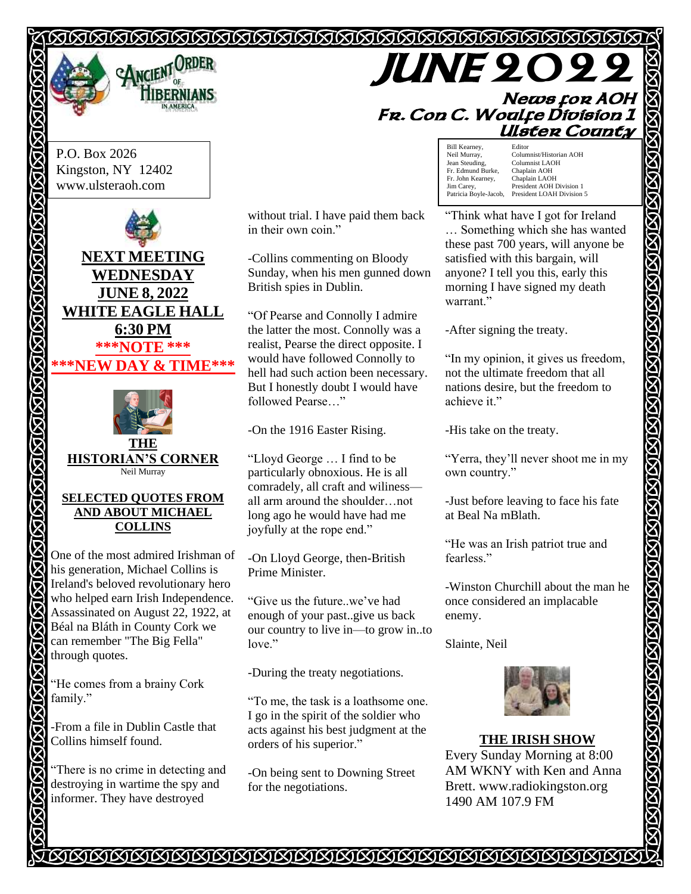# 



**JUNE 2022 News for AOH Fr. Con C. Woulfe Division 1 Ulster County** 

P.O. Box 2026 Kingston, NY 12402 www.ulsteraoh.com





#### **SELECTED QUOTES FROM AND ABOUT MICHAEL COLLINS**

One of the most admired Irishman of his generation, Michael Collins is Ireland's beloved revolutionary hero who helped earn Irish Independence. Assassinated on August 22, 1922, at Béal na Bláth in County Cork we can remember "The Big Fella" through quotes.

"He comes from a brainy Cork family."

**ANGA** 

-From a file in Dublin Castle that Collins himself found.

"There is no crime in detecting and destroying in wartime the spy and informer. They have destroyed

without trial. I have paid them back in their own coin."

-Collins commenting on Bloody Sunday, when his men gunned down British spies in Dublin.

"Of Pearse and Connolly I admire the latter the most. Connolly was a realist, Pearse the direct opposite. I would have followed Connolly to hell had such action been necessary. But I honestly doubt I would have followed Pearse…"

-On the 1916 Easter Rising.

"Lloyd George … I find to be particularly obnoxious. He is all comradely, all craft and wiliness all arm around the shoulder…not long ago he would have had me joyfully at the rope end."

-On Lloyd George, then-British Prime Minister.

"Give us the future..we've had enough of your past..give us back our country to live in—to grow in..to love."

-During the treaty negotiations.

"To me, the task is a loathsome one. I go in the spirit of the soldier who acts against his best judgment at the orders of his superior."

-On being sent to Downing Street for the negotiations.

Bill Kearney, Editor<br>Neil Murray, Colum Neil Murray, Columnist/Historian AOH<br>Jean Steuding. Columnist LAOH Columnist LAOH<br>Chaplain AOH Fr. Edmund Burke, Chaplain AOH<br>Fr. John Kearney, Chaplain LAOH Fr. John Kearney,<br>Jim Carey,<br>Patricia Boyle-Jacob, President AOH Division 1 President LOAH Division 5

"Think what have I got for Ireland … Something which she has wanted these past 700 years, will anyone be satisfied with this bargain, will anyone? I tell you this, early this morning I have signed my death warrant."

**KARAKAKA** 

-After signing the treaty.

"In my opinion, it gives us freedom, not the ultimate freedom that all nations desire, but the freedom to achieve it."

-His take on the treaty.

"Yerra, they'll never shoot me in my own country."

-Just before leaving to face his fate at Beal Na mBlath.

"He was an Irish patriot true and fearless."

-Winston Churchill about the man he once considered an implacable enemy.

Slainte, Neil



**THE IRISH SHOW** Every Sunday Morning at 8:00 AM WKNY with Ken and Anna Brett. www.radiokingston.org 1490 AM 107.9 FM

IAAAAAAAAAAAAAAAAAAAAAAAAAAAAAAAAA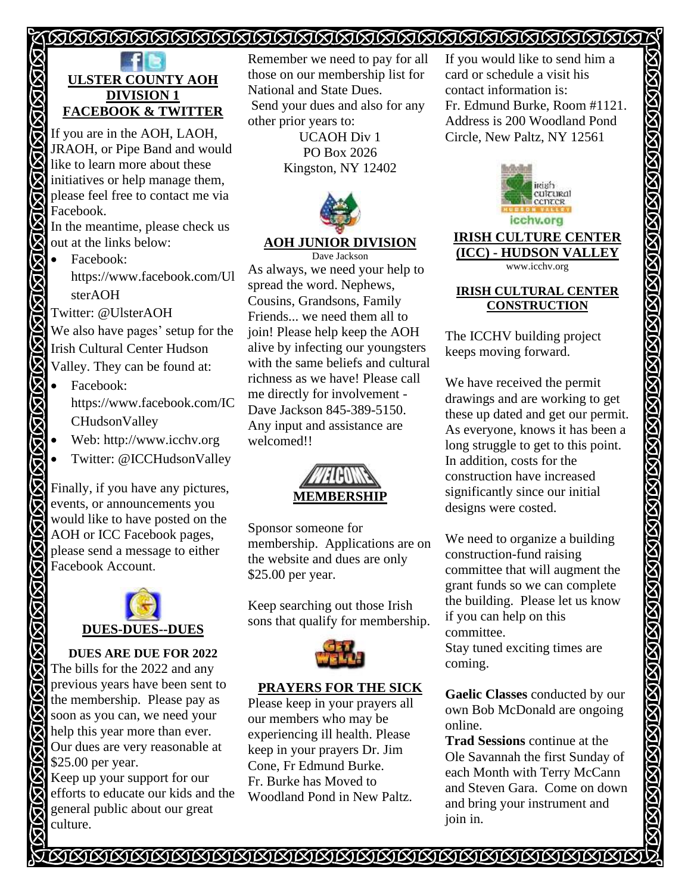# <u> TAAAAAAAAAAAAAAAAAAAAAAAAAAAA</u>



If you are in the AOH, LAOH, JRAOH, or Pipe Band and would like to learn more about these initiatives or help manage them, please feel free to contact me via Facebook.

In the meantime, please check us out at the links below:

• Facebook: https://www.facebook.com/Ul sterAOH

Twitter: @UlsterAOH

Ø

We also have pages' setup for the Irish Cultural Center Hudson Valley. They can be found at:

- Facebook: https://www.facebook.com/IC CHudsonValley
- Web: http://www.icchv.org
- Twitter: @ICCHudsonValley

Finally, if you have any pictures, events, or announcements you would like to have posted on the AOH or ICC Facebook pages, please send a message to either Facebook Account.



**DUES ARE DUE FOR 2022**  The bills for the 2022 and any previous years have been sent to the membership. Please pay as soon as you can, we need your help this year more than ever. Our dues are very reasonable at \$25.00 per year.

Keep up your support for our efforts to educate our kids and the general public about our great culture.

Remember we need to pay for all those on our membership list for National and State Dues. Send your dues and also for any other prior years to: UCAOH Div 1

PO Box 2026 Kingston, NY 12402



## **AOH JUNIOR DIVISION**

Dave Jackson As always, we need your help to spread the word. Nephews, Cousins, Grandsons, Family Friends... we need them all to join! Please help keep the AOH alive by infecting our youngsters with the same beliefs and cultural richness as we have! Please call me directly for involvement - Dave Jackson 845-389-5150. Any input and assistance are welcomed!!



Sponsor someone for membership. Applications are on the website and dues are only \$25.00 per year.

Keep searching out those Irish sons that qualify for membership.



## **PRAYERS FOR THE SICK**

Please keep in your prayers all our members who may be experiencing ill health. Please keep in your prayers Dr. Jim Cone, Fr Edmund Burke. Fr. Burke has Moved to Woodland Pond in New Paltz.

If you would like to send him a card or schedule a visit his contact information is: Fr. Edmund Burke, Room #1121. Address is 200 Woodland Pond Circle, New Paltz, NY 12561



**IRISH CULTURE CENTER (ICC) - HUDSON VALLEY** www.icchv.org

## **IRISH CULTURAL CENTER CONSTRUCTION**

The ICCHV building project keeps moving forward.

We have received the permit drawings and are working to get these up dated and get our permit. As everyone, knows it has been a long struggle to get to this point. In addition, costs for the construction have increased significantly since our initial designs were costed.

We need to organize a building construction-fund raising committee that will augment the grant funds so we can complete the building. Please let us know if you can help on this committee. Stay tuned exciting times are

coming.

**Gaelic Classes** conducted by our own Bob McDonald are ongoing online.

**Trad Sessions** continue at the Ole Savannah the first Sunday of each Month with Terry McCann and Steven Gara. Come on down and bring your instrument and join in.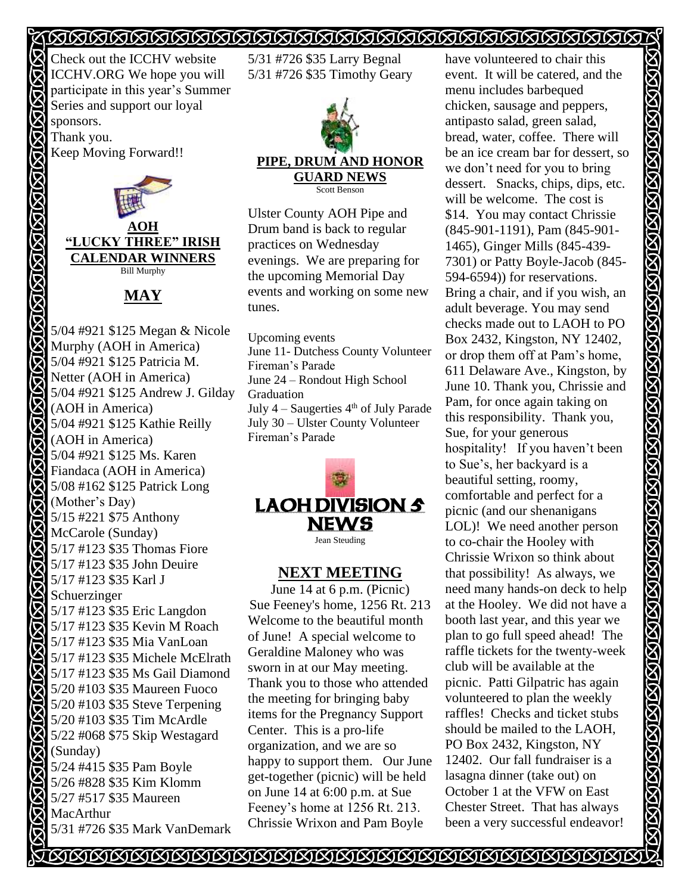# <u> SASSASSASSASSASSASSASSASSASSASSA</u>

Check out the ICCHV website ICCHV.ORG We hope you will participate in this year's Summer Series and support our loyal sponsors. Thank you. Keep Moving Forward!!

**AOH "LUCKY THREE" IRISH CALENDAR WINNERS**  Bill Murphy

**MAY**

5/04 #921 \$125 Megan & Nicole Murphy (AOH in America) 5/04 #921 \$125 Patricia M. Netter (AOH in America) 5/04 #921 \$125 Andrew J. Gilday (AOH in America) 5/04 #921 \$125 Kathie Reilly (AOH in America) 区 5/04 #921 \$125 Ms. Karen Fiandaca (AOH in America) **5/08 #162 \$125 Patrick Long** (Mother's Day) 5/15 #221 \$75 Anthony McCarole (Sunday) **5/17 #123 \$35 Thomas Fiore** 5/17 #123 \$35 John Deuire 5/17 #123 \$35 Karl J Schuerzinger 5/17 #123 \$35 Eric Langdon 5/17 #123 \$35 Kevin M Roach 5/17 #123 \$35 Mia VanLoan 5/17 #123 \$35 Michele McElrath **5/17 #123 \$35 Ms Gail Diamond** 5/20 #103 \$35 Maureen Fuoco 5/20 #103 \$35 Steve Terpening 5/20 #103 \$35 Tim McArdle 5/22 #068 \$75 Skip Westagard (Sunday) 5/24 #415 \$35 Pam Boyle 5/26 #828 \$35 Kim Klomm 5/27 #517 \$35 Maureen MacArthur 5/31 #726 \$35 Mark VanDemark

5/31 #726 \$35 Larry Begnal 5/31 #726 \$35 Timothy Geary



Ulster County AOH Pipe and Drum band is back to regular practices on Wednesday evenings. We are preparing for the upcoming Memorial Day events and working on some new tunes.

Upcoming events June 11- Dutchess County Volunteer Fireman's Parade June 24 – Rondout High School Graduation July  $4 -$  Saugerties  $4<sup>th</sup>$  of July Parade July 30 – Ulster County Volunteer Fireman's Parade



# **NEXT MEETING**

June 14 at 6 p.m. (Picnic) Sue Feeney's home, 1256 Rt. 213 Welcome to the beautiful month of June! A special welcome to Geraldine Maloney who was sworn in at our May meeting. Thank you to those who attended the meeting for bringing baby items for the Pregnancy Support Center. This is a pro-life organization, and we are so happy to support them. Our June get-together (picnic) will be held on June 14 at 6:00 p.m. at Sue Feeney's home at 1256 Rt. 213. Chrissie Wrixon and Pam Boyle

have volunteered to chair this event. It will be catered, and the menu includes barbequed chicken, sausage and peppers, antipasto salad, green salad, bread, water, coffee. There will be an ice cream bar for dessert, so we don't need for you to bring dessert. Snacks, chips, dips, etc. will be welcome. The cost is \$14. You may contact Chrissie (845-901-1191), Pam (845-901- 1465), Ginger Mills (845-439- 7301) or Patty Boyle-Jacob (845- 594-6594)) for reservations. Bring a chair, and if you wish, an adult beverage. You may send checks made out to LAOH to PO Box 2432, Kingston, NY 12402, or drop them off at Pam's home, 611 Delaware Ave., Kingston, by June 10. Thank you, Chrissie and Pam, for once again taking on this responsibility. Thank you, Sue, for your generous hospitality! If you haven't been to Sue's, her backyard is a beautiful setting, roomy, comfortable and perfect for a picnic (and our shenanigans LOL)! We need another person to co-chair the Hooley with Chrissie Wrixon so think about that possibility! As always, we need many hands-on deck to help at the Hooley. We did not have a booth last year, and this year we plan to go full speed ahead! The raffle tickets for the twenty-week club will be available at the picnic. Patti Gilpatric has again volunteered to plan the weekly raffles! Checks and ticket stubs should be mailed to the LAOH, PO Box 2432, Kingston, NY 12402. Our fall fundraiser is a lasagna dinner (take out) on October 1 at the VFW on East Chester Street. That has always been a very successful endeavor!

<u> NARISINARISINARISINARISINARISINARISINARISINARISINARISINARISINARISINARISI</u>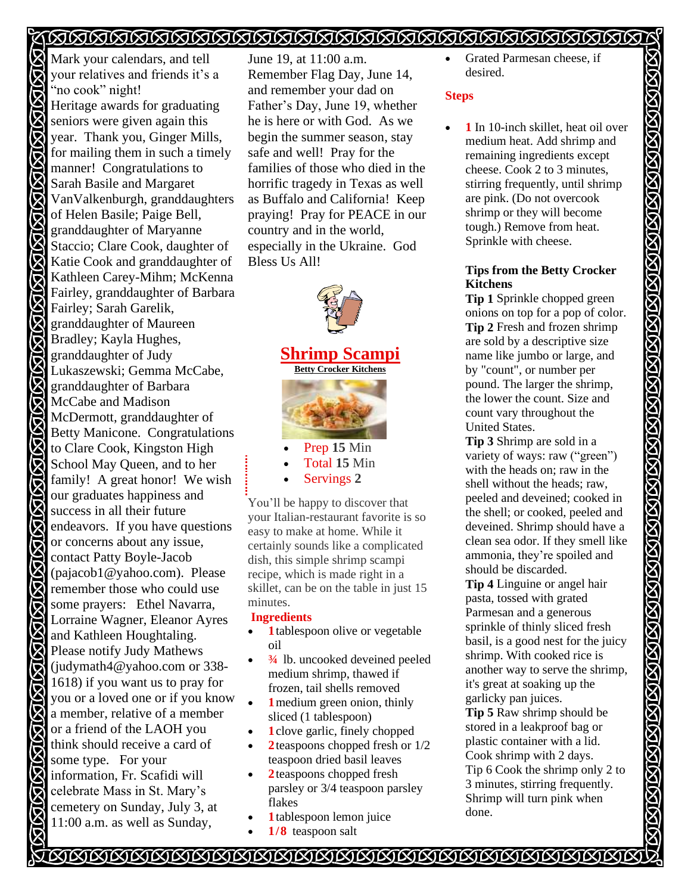# <u> AAAAAAAAAAAAAAAAAAAAAAAAAAAAA</u>

Mark your calendars, and tell your relatives and friends it's a "no cook" night! Heritage awards for graduating seniors were given again this year. Thank you, Ginger Mills, for mailing them in such a timely manner! Congratulations to Sarah Basile and Margaret VanValkenburgh, granddaughters of Helen Basile; Paige Bell, granddaughter of Maryanne Staccio; Clare Cook, daughter of Katie Cook and granddaughter of Kathleen Carey-Mihm; McKenna Fairley, granddaughter of Barbara Fairley; Sarah Garelik, granddaughter of Maureen Bradley; Kayla Hughes, granddaughter of Judy Lukaszewski; Gemma McCabe, granddaughter of Barbara McCabe and Madison<br>McDermott granddau McDermott, granddaughter of Betty Manicone. Congratulations to Clare Cook, Kingston High School May Queen, and to her family! A great honor! We wish our graduates happiness and success in all their future endeavors. If you have questions or concerns about any issue, contact Patty Boyle-Jacob (pajacob1@yahoo.com). Please remember those who could use some prayers: Ethel Navarra, Lorraine Wagner, Eleanor Ayres and Kathleen Houghtaling. Please notify Judy Mathews (judymath4@yahoo.com or 338- 1618) if you want us to pray for you or a loved one or if you know a member, relative of a member or a friend of the LAOH you think should receive a card of some type. For your information, Fr. Scafidi will celebrate Mass in St. Mary's cemetery on Sunday, July 3, at 11:00 a.m. as well as Sunday,

June 19, at 11:00 a.m. Remember Flag Day, June 14, and remember your dad on Father's Day, June 19, whether he is here or with God. As we begin the summer season, stay safe and well! Pray for the families of those who died in the horrific tragedy in Texas as well as Buffalo and California! Keep praying! Pray for PEACE in our country and in the world, especially in the Ukraine. God Bless Us All!



- Prep 15 Min
- Total **15** Min
- Servings **2**

You'll be happy to discover that your Italian-restaurant favorite is so easy to make at home. While it certainly sounds like a complicated dish, this simple shrimp scampi recipe, which is made right in a skillet, can be on the table in just 15 minutes.

## **Ingredients**

- **1** tablespoon olive or vegetable oil
- $\frac{3}{4}$  lb. uncooked deveined peeled medium shrimp, thawed if frozen, tail shells removed
- **1** medium green onion, thinly sliced (1 tablespoon)
- **1** clove garlic, finely chopped
- 2 teaspoons chopped fresh or  $1/2$ teaspoon dried basil leaves
- **2**teaspoons chopped fresh parsley or 3/4 teaspoon parsley flakes
- **1**tablespoon lemon juice
- 1/8 teaspoon salt

• Grated Parmesan cheese, if desired.

### **Steps**

1 In 10-inch skillet, heat oil over medium heat. Add shrimp and remaining ingredients except cheese. Cook 2 to 3 minutes, stirring frequently, until shrimp are pink. (Do not overcook shrimp or they will become tough.) Remove from heat. Sprinkle with cheese.

### **Tips from the Betty Crocker Kitchens**

**Tip 1** Sprinkle chopped green onions on top for a pop of color. **Tip 2** Fresh and frozen shrimp are sold by a descriptive size name like jumbo or large, and by "count", or number per pound. The larger the shrimp, the lower the count. Size and count vary throughout the United States.

**Tip 3** Shrimp are sold in a variety of ways: raw ("green") with the heads on; raw in the shell without the heads; raw, peeled and deveined; cooked in the shell; or cooked, peeled and deveined. Shrimp should have a clean sea odor. If they smell like ammonia, they're spoiled and should be discarded.

**Tip 4** Linguine or angel hair pasta, tossed with grated Parmesan and a generous sprinkle of thinly sliced fresh basil, is a good nest for the juicy shrimp. With cooked rice is another way to serve the shrimp, it's great at soaking up the garlicky pan juices.

**Tip 5** Raw shrimp should be stored in a leakproof bag or plastic container with a lid. Cook shrimp with 2 days. Tip 6 Cook the shrimp only 2 to 3 minutes, stirring frequently. Shrimp will turn pink when done.